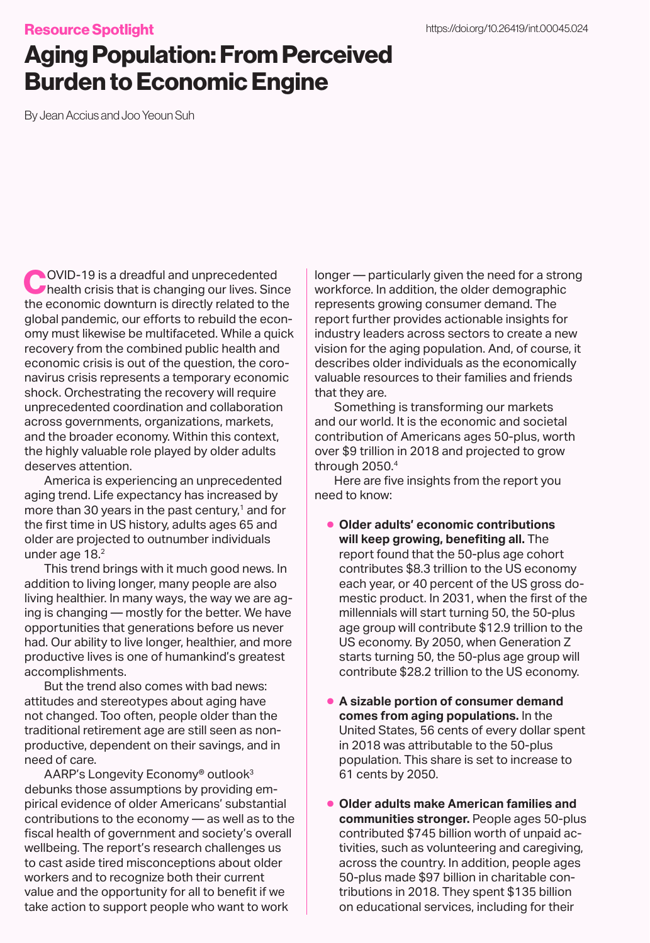## Resource Spotlight

## Aging Population: From Perceived Burden to Economic Engine

By Jean Accius and Joo Yeoun Suh

**NOVID-19** is a dreadful and unprecedented health crisis that is changing our lives. Since the economic downturn is directly related to the global pandemic, our efforts to rebuild the economy must likewise be multifaceted. While a quick recovery from the combined public health and economic crisis is out of the question, the coronavirus crisis represents a temporary economic shock. Orchestrating the recovery will require unprecedented coordination and collaboration across governments, organizations, markets, and the broader economy. Within this context, the highly valuable role played by older adults deserves attention.

America is experiencing an unprecedented aging trend. Life expectancy has increased by more than 30 years in the past century, $1$  and for the first time in US history, adults ages 65 and older are projected to outnumber individuals under age 18.<sup>2</sup>

This trend brings with it much good news. In addition to living longer, many people are also living healthier. In many ways, the way we are aging is changing — mostly for the better. We have opportunities that generations before us never had. Our ability to live longer, healthier, and more productive lives is one of humankind's greatest accomplishments.

But the trend also comes with bad news: attitudes and stereotypes about aging have not changed. Too often, people older than the traditional retirement age are still seen as nonproductive, dependent on their savings, and in need of care.

AARP's Longevity Economy® outlook3 debunks those assumptions by providing empirical evidence of older Americans' substantial contributions to the economy — as well as to the fiscal health of government and society's overall wellbeing. The report's research challenges us to cast aside tired misconceptions about older workers and to recognize both their current value and the opportunity for all to benefit if we take action to support people who want to work

longer — particularly given the need for a strong workforce. In addition, the older demographic represents growing consumer demand. The report further provides actionable insights for industry leaders across sectors to create a new vision for the aging population. And, of course, it describes older individuals as the economically valuable resources to their families and friends that they are.

Something is transforming our markets and our world. It is the economic and societal contribution of Americans ages 50-plus, worth over \$9 trillion in 2018 and projected to grow through 2050.4

Here are five insights from the report you need to know:

- **Older adults' economic contributions will keep growing, benefiting all.** The report found that the 50-plus age cohort contributes \$8.3 trillion to the US economy each year, or 40 percent of the US gross domestic product. In 2031, when the first of the millennials will start turning 50, the 50-plus age group will contribute \$12.9 trillion to the US economy. By 2050, when Generation Z starts turning 50, the 50-plus age group will contribute \$28.2 trillion to the US economy.
- **A sizable portion of consumer demand comes from aging populations.** In the United States, 56 cents of every dollar spent in 2018 was attributable to the 50-plus population. This share is set to increase to 61 cents by 2050.
- **Older adults make American families and communities stronger.** People ages 50-plus contributed \$745 billion worth of unpaid activities, such as volunteering and caregiving, across the country. In addition, people ages 50-plus made \$97 billion in charitable contributions in 2018. They spent \$135 billion on educational services, including for their